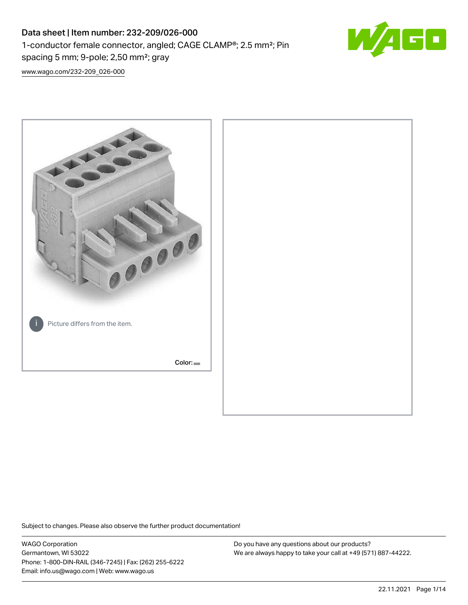# Data sheet | Item number: 232-209/026-000 1-conductor female connector, angled; CAGE CLAMP®; 2.5 mm²; Pin spacing 5 mm; 9-pole; 2,50 mm²; gray



[www.wago.com/232-209\\_026-000](http://www.wago.com/232-209_026-000)



Subject to changes. Please also observe the further product documentation!

WAGO Corporation Germantown, WI 53022 Phone: 1-800-DIN-RAIL (346-7245) | Fax: (262) 255-6222 Email: info.us@wago.com | Web: www.wago.us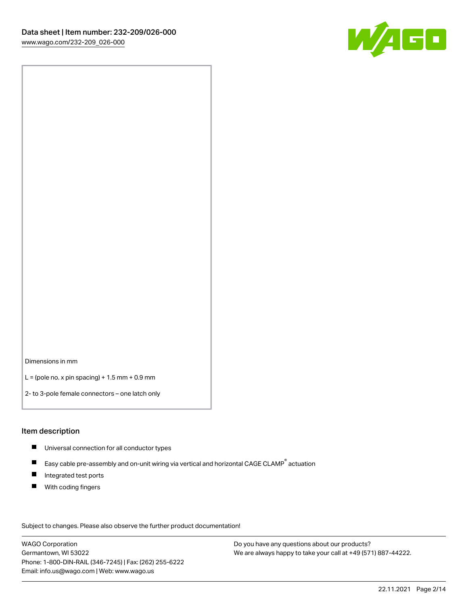

Dimensions in mm

 $L =$  (pole no. x pin spacing) + 1.5 mm + 0.9 mm

2- to 3-pole female connectors – one latch only

#### Item description

- **Universal connection for all conductor types**
- Easy cable pre-assembly and on-unit wiring via vertical and horizontal CAGE CLAMP<sup>®</sup> actuation  $\blacksquare$
- $\blacksquare$ Integrated test ports
- $\blacksquare$ With coding fingers

Subject to changes. Please also observe the further product documentation! Data

WAGO Corporation Germantown, WI 53022 Phone: 1-800-DIN-RAIL (346-7245) | Fax: (262) 255-6222 Email: info.us@wago.com | Web: www.wago.us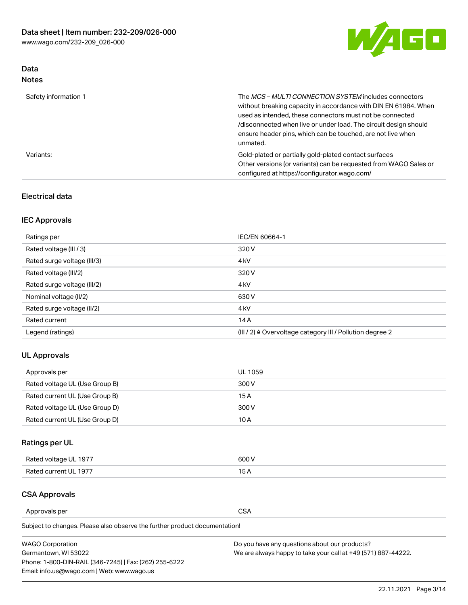

### Data Notes

| Safety information 1 | The MCS-MULTI CONNECTION SYSTEM includes connectors<br>without breaking capacity in accordance with DIN EN 61984. When<br>used as intended, these connectors must not be connected<br>/disconnected when live or under load. The circuit design should<br>ensure header pins, which can be touched, are not live when<br>unmated. |
|----------------------|-----------------------------------------------------------------------------------------------------------------------------------------------------------------------------------------------------------------------------------------------------------------------------------------------------------------------------------|
| Variants:            | Gold-plated or partially gold-plated contact surfaces<br>Other versions (or variants) can be requested from WAGO Sales or<br>configured at https://configurator.wago.com/                                                                                                                                                         |

#### Electrical data

### IEC Approvals

| Ratings per                 | IEC/EN 60664-1                                                        |
|-----------------------------|-----------------------------------------------------------------------|
| Rated voltage (III / 3)     | 320 V                                                                 |
| Rated surge voltage (III/3) | 4 <sub>k</sub> V                                                      |
| Rated voltage (III/2)       | 320 V                                                                 |
| Rated surge voltage (III/2) | 4 <sub>k</sub> V                                                      |
| Nominal voltage (II/2)      | 630 V                                                                 |
| Rated surge voltage (II/2)  | 4 <sub>k</sub> V                                                      |
| Rated current               | 14A                                                                   |
| Legend (ratings)            | $(III / 2)$ $\triangle$ Overvoltage category III / Pollution degree 2 |

### UL Approvals

| Approvals per                  | UL 1059 |
|--------------------------------|---------|
| Rated voltage UL (Use Group B) | 300 V   |
| Rated current UL (Use Group B) | 15 A    |
| Rated voltage UL (Use Group D) | 300 V   |
| Rated current UL (Use Group D) | 10 A    |

## Ratings per UL

| Rated voltage UL 1977 | 300 V |
|-----------------------|-------|
| Rated current UL 1977 |       |

#### CSA Approvals

Approvals per CSA

Subject to changes. Please also observe the further product documentation!

| <b>WAGO Corporation</b>                                | Do you have any questions about our products?                 |
|--------------------------------------------------------|---------------------------------------------------------------|
| Germantown, WI 53022                                   | We are always happy to take your call at +49 (571) 887-44222. |
| Phone: 1-800-DIN-RAIL (346-7245)   Fax: (262) 255-6222 |                                                               |
| Email: info.us@wago.com   Web: www.wago.us             |                                                               |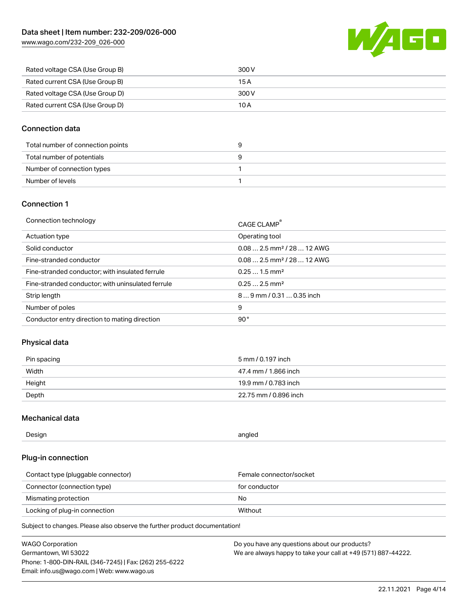[www.wago.com/232-209\\_026-000](http://www.wago.com/232-209_026-000)



| Rated voltage CSA (Use Group B) | 300 V |
|---------------------------------|-------|
| Rated current CSA (Use Group B) | 15 A  |
| Rated voltage CSA (Use Group D) | 300 V |
| Rated current CSA (Use Group D) | 10 A  |

#### Connection data

| Total number of connection points |  |
|-----------------------------------|--|
| Total number of potentials        |  |
| Number of connection types        |  |
| Number of levels                  |  |

### Connection 1

| Connection technology                             | CAGE CLAMP®                            |
|---------------------------------------------------|----------------------------------------|
| Actuation type                                    | Operating tool                         |
| Solid conductor                                   | $0.082.5$ mm <sup>2</sup> / 28  12 AWG |
| Fine-stranded conductor                           | $0.082.5$ mm <sup>2</sup> / 28  12 AWG |
| Fine-stranded conductor; with insulated ferrule   | $0.251.5$ mm <sup>2</sup>              |
| Fine-stranded conductor; with uninsulated ferrule | $0.252.5$ mm <sup>2</sup>              |
| Strip length                                      | $89$ mm / 0.31  0.35 inch              |
| Number of poles                                   | 9                                      |
| Conductor entry direction to mating direction     | 90°                                    |

### Physical data

| Pin spacing | 5 mm / 0.197 inch     |
|-------------|-----------------------|
| Width       | 47.4 mm / 1.866 inch  |
| Height      | 19.9 mm / 0.783 inch  |
| Depth       | 22.75 mm / 0.896 inch |

#### Mechanical data

| Design<br>angled |  |
|------------------|--|
|------------------|--|

#### Plug-in connection

| Contact type (pluggable connector) | Female connector/socket |
|------------------------------------|-------------------------|
| Connector (connection type)        | for conductor           |
| Mismating protection               | No                      |
| Locking of plug-in connection      | Without                 |

Subject to changes. Please also observe the further product documentation!

| <b>WAGO Corporation</b>                                | Do you have any questions about our products?                 |
|--------------------------------------------------------|---------------------------------------------------------------|
| Germantown, WI 53022                                   | We are always happy to take your call at +49 (571) 887-44222. |
| Phone: 1-800-DIN-RAIL (346-7245)   Fax: (262) 255-6222 |                                                               |
| Email: info.us@wago.com   Web: www.wago.us             |                                                               |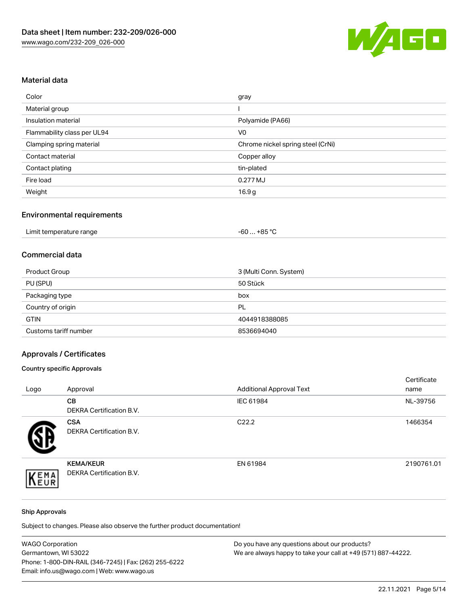

## Material data

| Color                       | gray                              |
|-----------------------------|-----------------------------------|
| Material group              |                                   |
| Insulation material         | Polyamide (PA66)                  |
| Flammability class per UL94 | V <sub>0</sub>                    |
| Clamping spring material    | Chrome nickel spring steel (CrNi) |
| Contact material            | Copper alloy                      |
| Contact plating             | tin-plated                        |
| Fire load                   | 0.277 MJ                          |
| Weight                      | 16.9 <sub>g</sub>                 |

#### Environmental requirements

| Limit temperature range<br>. | . +85 °ົ<br>-60 |  |
|------------------------------|-----------------|--|
|------------------------------|-----------------|--|

#### Commercial data

| Product Group         | 3 (Multi Conn. System) |
|-----------------------|------------------------|
| PU (SPU)              | 50 Stück               |
| Packaging type        | box                    |
| Country of origin     | PL                     |
| <b>GTIN</b>           | 4044918388085          |
| Customs tariff number | 8536694040             |

## Approvals / Certificates

#### Country specific Approvals

| Logo       | Approval                                            | <b>Additional Approval Text</b> | Certificate<br>name |
|------------|-----------------------------------------------------|---------------------------------|---------------------|
|            | CВ<br><b>DEKRA Certification B.V.</b>               | IEC 61984                       | NL-39756            |
|            | <b>CSA</b><br><b>DEKRA Certification B.V.</b>       | C <sub>22.2</sub>               | 1466354             |
| EMA<br>EUR | <b>KEMA/KEUR</b><br><b>DEKRA Certification B.V.</b> | EN 61984                        | 2190761.01          |

#### Ship Approvals

Subject to changes. Please also observe the further product documentation!

| <b>WAGO Corporation</b>                                | Do you have any questions about our products?                 |
|--------------------------------------------------------|---------------------------------------------------------------|
| Germantown, WI 53022                                   | We are always happy to take your call at +49 (571) 887-44222. |
| Phone: 1-800-DIN-RAIL (346-7245)   Fax: (262) 255-6222 |                                                               |
| Email: info.us@wago.com   Web: www.wago.us             |                                                               |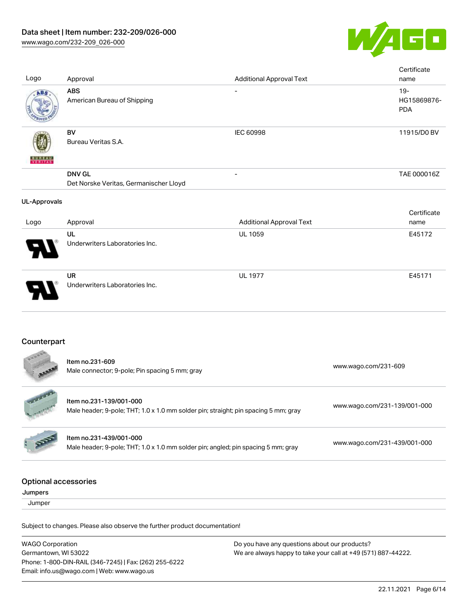

| Logo                                   | Approval                                                                                                       | <b>Additional Approval Text</b> | Certificate<br>name                 |
|----------------------------------------|----------------------------------------------------------------------------------------------------------------|---------------------------------|-------------------------------------|
| ABS                                    | <b>ABS</b><br>American Bureau of Shipping                                                                      |                                 | $19 -$<br>HG15869876-<br><b>PDA</b> |
|                                        | <b>BV</b><br>Bureau Veritas S.A.                                                                               | <b>IEC 60998</b>                | 11915/D0 BV                         |
|                                        | <b>DNV GL</b><br>Det Norske Veritas, Germanischer Lloyd                                                        |                                 | TAE 000016Z                         |
| <b>UL-Approvals</b>                    |                                                                                                                |                                 |                                     |
| Logo                                   | Approval                                                                                                       | <b>Additional Approval Text</b> | Certificate<br>name                 |
|                                        | UL<br>Underwriters Laboratories Inc.                                                                           | UL 1059                         | E45172                              |
|                                        | <b>UR</b><br>Underwriters Laboratories Inc.                                                                    | <b>UL 1977</b>                  | E45171                              |
| Counterpart                            |                                                                                                                |                                 |                                     |
|                                        | Item no.231-609<br>Male connector; 9-pole; Pin spacing 5 mm; gray                                              |                                 | www.wago.com/231-609                |
|                                        | Item no.231-139/001-000<br>Male header; 9-pole; THT; 1.0 x 1.0 mm solder pin; straight; pin spacing 5 mm; gray |                                 | www.wago.com/231-139/001-000        |
|                                        | Item no.231-439/001-000<br>Male header; 9-pole; THT; 1.0 x 1.0 mm solder pin; angled; pin spacing 5 mm; gray   |                                 | www.wago.com/231-439/001-000        |
| <b>Optional accessories</b><br>Jumpers |                                                                                                                |                                 |                                     |
| Jumper                                 |                                                                                                                |                                 |                                     |
|                                        | Subject to changes. Please also observe the further product documentation!                                     |                                 |                                     |
|                                        |                                                                                                                |                                 |                                     |

WAGO Corporation Germantown, WI 53022 Phone: 1-800-DIN-RAIL (346-7245) | Fax: (262) 255-6222 Email: info.us@wago.com | Web: www.wago.us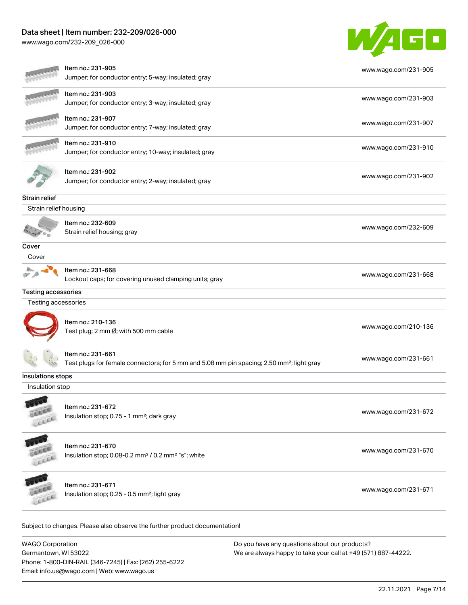[www.wago.com/232-209\\_026-000](http://www.wago.com/232-209_026-000)



|                       | Item no.: 231-905<br>Jumper; for conductor entry; 5-way; insulated; gray                                                   | www.wago.com/231-905 |
|-----------------------|----------------------------------------------------------------------------------------------------------------------------|----------------------|
|                       | Item no.: 231-903<br>Jumper; for conductor entry; 3-way; insulated; gray                                                   | www.wago.com/231-903 |
|                       | Item no.: 231-907<br>Jumper; for conductor entry; 7-way; insulated; gray                                                   | www.wago.com/231-907 |
|                       | Item no.: 231-910<br>Jumper; for conductor entry; 10-way; insulated; gray                                                  | www.wago.com/231-910 |
|                       | Item no.: 231-902<br>Jumper; for conductor entry; 2-way; insulated; gray                                                   | www.wago.com/231-902 |
| Strain relief         |                                                                                                                            |                      |
| Strain relief housing |                                                                                                                            |                      |
|                       | Item no.: 232-609<br>Strain relief housing; gray                                                                           | www.wago.com/232-609 |
| Cover                 |                                                                                                                            |                      |
| Cover                 |                                                                                                                            |                      |
|                       | Item no.: 231-668<br>Lockout caps; for covering unused clamping units; gray                                                | www.wago.com/231-668 |
| Testing accessories   |                                                                                                                            |                      |
| Testing accessories   |                                                                                                                            |                      |
|                       | Item no.: 210-136<br>Test plug; 2 mm Ø; with 500 mm cable                                                                  | www.wago.com/210-136 |
|                       | Item no.: 231-661<br>Test plugs for female connectors; for 5 mm and 5.08 mm pin spacing; 2,50 mm <sup>2</sup> ; light gray | www.wago.com/231-661 |
| Insulations stops     |                                                                                                                            |                      |
| Insulation stop       |                                                                                                                            |                      |
| EREE                  | Item no.: 231-672<br>Insulation stop; 0.75 - 1 mm <sup>2</sup> ; dark gray                                                 | www.wago.com/231-672 |
| LEER                  | Item no.: 231-670<br>Insulation stop; 0.08-0.2 mm <sup>2</sup> / 0.2 mm <sup>2</sup> "s"; white                            | www.wago.com/231-670 |
|                       | Item no.: 231-671<br>Insulation stop; 0.25 - 0.5 mm <sup>2</sup> ; light gray                                              | www.wago.com/231-671 |

WAGO Corporation Germantown, WI 53022 Phone: 1-800-DIN-RAIL (346-7245) | Fax: (262) 255-6222 Email: info.us@wago.com | Web: www.wago.us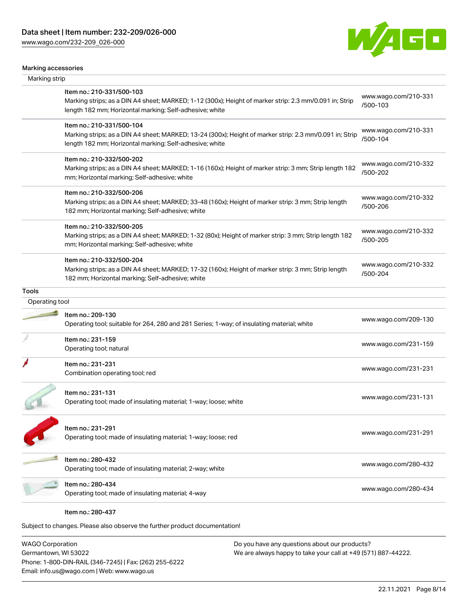[www.wago.com/232-209\\_026-000](http://www.wago.com/232-209_026-000)



#### Marking accessories

| Marking strip  |                                                                                                                                                                                                 |                                  |
|----------------|-------------------------------------------------------------------------------------------------------------------------------------------------------------------------------------------------|----------------------------------|
|                | Item no.: 210-331/500-103<br>Marking strips; as a DIN A4 sheet; MARKED; 1-12 (300x); Height of marker strip: 2.3 mm/0.091 in; Strip<br>length 182 mm; Horizontal marking; Self-adhesive; white  | www.wago.com/210-331<br>/500-103 |
|                | Item no.: 210-331/500-104<br>Marking strips; as a DIN A4 sheet; MARKED; 13-24 (300x); Height of marker strip: 2.3 mm/0.091 in; Strip<br>length 182 mm; Horizontal marking; Self-adhesive; white | www.wago.com/210-331<br>/500-104 |
|                | Item no.: 210-332/500-202<br>Marking strips; as a DIN A4 sheet; MARKED; 1-16 (160x); Height of marker strip: 3 mm; Strip length 182<br>mm; Horizontal marking; Self-adhesive; white             | www.wago.com/210-332<br>/500-202 |
|                | Item no.: 210-332/500-206<br>Marking strips; as a DIN A4 sheet; MARKED; 33-48 (160x); Height of marker strip: 3 mm; Strip length<br>182 mm; Horizontal marking; Self-adhesive; white            | www.wago.com/210-332<br>/500-206 |
|                | Item no.: 210-332/500-205<br>Marking strips; as a DIN A4 sheet; MARKED; 1-32 (80x); Height of marker strip: 3 mm; Strip length 182<br>mm; Horizontal marking; Self-adhesive; white              | www.wago.com/210-332<br>/500-205 |
|                | Item no.: 210-332/500-204<br>Marking strips; as a DIN A4 sheet; MARKED; 17-32 (160x); Height of marker strip: 3 mm; Strip length<br>182 mm; Horizontal marking; Self-adhesive; white            | www.wago.com/210-332<br>/500-204 |
| <b>Tools</b>   |                                                                                                                                                                                                 |                                  |
| Operating tool |                                                                                                                                                                                                 |                                  |
|                | Item no.: 209-130<br>Operating tool; suitable for 264, 280 and 281 Series; 1-way; of insulating material; white                                                                                 | www.wago.com/209-130             |
|                | Item no.: 231-159<br>Operating tool; natural                                                                                                                                                    | www.wago.com/231-159             |
|                | Item no.: 231-231<br>Combination operating tool; red                                                                                                                                            | www.wago.com/231-231             |
|                | Item no.: 231-131<br>Operating tool; made of insulating material; 1-way; loose; white                                                                                                           | www.wago.com/231-131             |
|                | Item no.: 231-291<br>Operating tool; made of insulating material; 1-way; loose; red                                                                                                             | www.wago.com/231-291             |
|                | Item no.: 280-432<br>Operating tool; made of insulating material; 2-way; white                                                                                                                  | www.wago.com/280-432             |
|                | Item no.: 280-434<br>Operating tool; made of insulating material; 4-way                                                                                                                         | www.wago.com/280-434             |
|                | Item no.: 280-437                                                                                                                                                                               |                                  |
|                | Subject to changes. Please also observe the further product documentation!                                                                                                                      |                                  |

WAGO Corporation Germantown, WI 53022 Phone: 1-800-DIN-RAIL (346-7245) | Fax: (262) 255-6222 Email: info.us@wago.com | Web: www.wago.us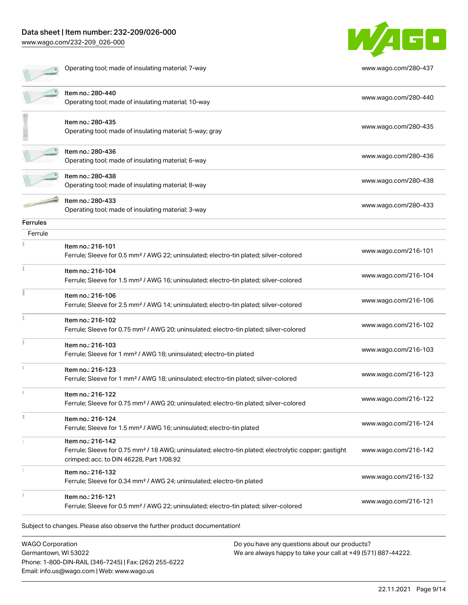[www.wago.com/232-209\\_026-000](http://www.wago.com/232-209_026-000)



|                 | Operating tool; made of insulating material; 7-way                                                                                                                                 | www.wago.com/280-437 |
|-----------------|------------------------------------------------------------------------------------------------------------------------------------------------------------------------------------|----------------------|
|                 | Item no.: 280-440<br>Operating tool; made of insulating material; 10-way                                                                                                           | www.wago.com/280-440 |
|                 | Item no.: 280-435<br>Operating tool; made of insulating material; 5-way; gray                                                                                                      | www.wago.com/280-435 |
|                 | Item no.: 280-436<br>Operating tool; made of insulating material; 6-way                                                                                                            | www.wago.com/280-436 |
|                 | Item no.: 280-438<br>Operating tool; made of insulating material; 8-way                                                                                                            | www.wago.com/280-438 |
|                 | Item no.: 280-433<br>Operating tool; made of insulating material; 3-way                                                                                                            | www.wago.com/280-433 |
| <b>Ferrules</b> |                                                                                                                                                                                    |                      |
| Ferrule         |                                                                                                                                                                                    |                      |
|                 | Item no.: 216-101<br>Ferrule; Sleeve for 0.5 mm <sup>2</sup> / AWG 22; uninsulated; electro-tin plated; silver-colored                                                             | www.wago.com/216-101 |
|                 | Item no.: 216-104<br>Ferrule; Sleeve for 1.5 mm <sup>2</sup> / AWG 16; uninsulated; electro-tin plated; silver-colored                                                             | www.wago.com/216-104 |
|                 | Item no.: 216-106<br>Ferrule; Sleeve for 2.5 mm <sup>2</sup> / AWG 14; uninsulated; electro-tin plated; silver-colored                                                             | www.wago.com/216-106 |
|                 | Item no.: 216-102<br>Ferrule; Sleeve for 0.75 mm <sup>2</sup> / AWG 20; uninsulated; electro-tin plated; silver-colored                                                            | www.wago.com/216-102 |
|                 | Item no.: 216-103<br>Ferrule; Sleeve for 1 mm <sup>2</sup> / AWG 18; uninsulated; electro-tin plated                                                                               | www.wago.com/216-103 |
|                 | Item no.: 216-123<br>Ferrule; Sleeve for 1 mm <sup>2</sup> / AWG 18; uninsulated; electro-tin plated; silver-colored                                                               | www.wago.com/216-123 |
|                 | Item no.: 216-122<br>Ferrule; Sleeve for 0.75 mm <sup>2</sup> / AWG 20; uninsulated; electro-tin plated; silver-colored                                                            | www.wago.com/216-122 |
|                 | Item no.: 216-124<br>Ferrule; Sleeve for 1.5 mm <sup>2</sup> / AWG 16; uninsulated; electro-tin plated                                                                             | www.wago.com/216-124 |
|                 | Item no.: 216-142<br>Ferrule; Sleeve for 0.75 mm <sup>2</sup> / 18 AWG; uninsulated; electro-tin plated; electrolytic copper; gastight<br>crimped; acc. to DIN 46228, Part 1/08.92 | www.wago.com/216-142 |
|                 | Item no.: 216-132<br>Ferrule; Sleeve for 0.34 mm <sup>2</sup> / AWG 24; uninsulated; electro-tin plated                                                                            | www.wago.com/216-132 |
|                 | Item no.: 216-121<br>Ferrule; Sleeve for 0.5 mm <sup>2</sup> / AWG 22; uninsulated; electro-tin plated; silver-colored                                                             | www.wago.com/216-121 |

WAGO Corporation Germantown, WI 53022 Phone: 1-800-DIN-RAIL (346-7245) | Fax: (262) 255-6222 Email: info.us@wago.com | Web: www.wago.us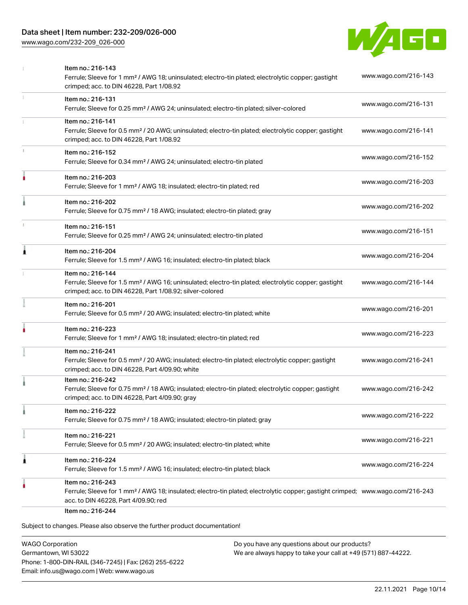[www.wago.com/232-209\\_026-000](http://www.wago.com/232-209_026-000)



| Item no.: 216-131<br>Ferrule; Sleeve for 0.25 mm <sup>2</sup> / AWG 24; uninsulated; electro-tin plated; silver-colored<br>Item no.: 216-141<br>Ferrule; Sleeve for 0.5 mm <sup>2</sup> / 20 AWG; uninsulated; electro-tin plated; electrolytic copper; gastight<br>crimped; acc. to DIN 46228, Part 1/08.92<br>Item no.: 216-152<br>Ferrule; Sleeve for 0.34 mm <sup>2</sup> / AWG 24; uninsulated; electro-tin plated<br>Item no.: 216-203<br>Ferrule; Sleeve for 1 mm <sup>2</sup> / AWG 18; insulated; electro-tin plated; red<br>Item no.: 216-202<br>Ferrule; Sleeve for 0.75 mm <sup>2</sup> / 18 AWG; insulated; electro-tin plated; gray<br>Item no.: 216-151<br>Ferrule; Sleeve for 0.25 mm <sup>2</sup> / AWG 24; uninsulated; electro-tin plated<br>Item no.: 216-204 | www.wago.com/216-131<br>www.wago.com/216-141<br>www.wago.com/216-152<br>www.wago.com/216-203<br>www.wago.com/216-202<br>www.wago.com/216-151 |
|-----------------------------------------------------------------------------------------------------------------------------------------------------------------------------------------------------------------------------------------------------------------------------------------------------------------------------------------------------------------------------------------------------------------------------------------------------------------------------------------------------------------------------------------------------------------------------------------------------------------------------------------------------------------------------------------------------------------------------------------------------------------------------------|----------------------------------------------------------------------------------------------------------------------------------------------|
|                                                                                                                                                                                                                                                                                                                                                                                                                                                                                                                                                                                                                                                                                                                                                                                   |                                                                                                                                              |
|                                                                                                                                                                                                                                                                                                                                                                                                                                                                                                                                                                                                                                                                                                                                                                                   |                                                                                                                                              |
|                                                                                                                                                                                                                                                                                                                                                                                                                                                                                                                                                                                                                                                                                                                                                                                   |                                                                                                                                              |
|                                                                                                                                                                                                                                                                                                                                                                                                                                                                                                                                                                                                                                                                                                                                                                                   |                                                                                                                                              |
|                                                                                                                                                                                                                                                                                                                                                                                                                                                                                                                                                                                                                                                                                                                                                                                   |                                                                                                                                              |
|                                                                                                                                                                                                                                                                                                                                                                                                                                                                                                                                                                                                                                                                                                                                                                                   |                                                                                                                                              |
| Ferrule; Sleeve for 1.5 mm <sup>2</sup> / AWG 16; insulated; electro-tin plated; black                                                                                                                                                                                                                                                                                                                                                                                                                                                                                                                                                                                                                                                                                            | www.wago.com/216-204                                                                                                                         |
| Item no.: 216-144<br>Ferrule; Sleeve for 1.5 mm <sup>2</sup> / AWG 16; uninsulated; electro-tin plated; electrolytic copper; gastight<br>crimped; acc. to DIN 46228, Part 1/08.92; silver-colored                                                                                                                                                                                                                                                                                                                                                                                                                                                                                                                                                                                 | www.wago.com/216-144                                                                                                                         |
| Item no.: 216-201<br>Ferrule; Sleeve for 0.5 mm <sup>2</sup> / 20 AWG; insulated; electro-tin plated; white                                                                                                                                                                                                                                                                                                                                                                                                                                                                                                                                                                                                                                                                       | www.wago.com/216-201                                                                                                                         |
| Item no.: 216-223<br>Ferrule; Sleeve for 1 mm <sup>2</sup> / AWG 18; insulated; electro-tin plated; red                                                                                                                                                                                                                                                                                                                                                                                                                                                                                                                                                                                                                                                                           | www.wago.com/216-223                                                                                                                         |
| Item no.: 216-241<br>Ferrule; Sleeve for 0.5 mm <sup>2</sup> / 20 AWG; insulated; electro-tin plated; electrolytic copper; gastight<br>crimped; acc. to DIN 46228, Part 4/09.90; white                                                                                                                                                                                                                                                                                                                                                                                                                                                                                                                                                                                            | www.wago.com/216-241                                                                                                                         |
| Item no.: 216-242<br>Ferrule; Sleeve for 0.75 mm <sup>2</sup> / 18 AWG; insulated; electro-tin plated; electrolytic copper; gastight<br>crimped; acc. to DIN 46228, Part 4/09.90; gray                                                                                                                                                                                                                                                                                                                                                                                                                                                                                                                                                                                            | www.wago.com/216-242                                                                                                                         |
| Item no.: 216-222<br>Ferrule; Sleeve for 0.75 mm <sup>2</sup> / 18 AWG; insulated; electro-tin plated; gray                                                                                                                                                                                                                                                                                                                                                                                                                                                                                                                                                                                                                                                                       | www.wago.com/216-222                                                                                                                         |
| Item no.: 216-221<br>Ferrule; Sleeve for 0.5 mm <sup>2</sup> / 20 AWG; insulated; electro-tin plated; white                                                                                                                                                                                                                                                                                                                                                                                                                                                                                                                                                                                                                                                                       | www.wago.com/216-221                                                                                                                         |
| Item no.: 216-224<br>Ferrule; Sleeve for 1.5 mm <sup>2</sup> / AWG 16; insulated; electro-tin plated; black                                                                                                                                                                                                                                                                                                                                                                                                                                                                                                                                                                                                                                                                       | www.wago.com/216-224                                                                                                                         |
| Item no.: 216-243<br>Ferrule; Sleeve for 1 mm <sup>2</sup> / AWG 18; insulated; electro-tin plated; electrolytic copper; gastight crimped; www.wago.com/216-243<br>acc. to DIN 46228, Part 4/09.90; red                                                                                                                                                                                                                                                                                                                                                                                                                                                                                                                                                                           |                                                                                                                                              |
|                                                                                                                                                                                                                                                                                                                                                                                                                                                                                                                                                                                                                                                                                                                                                                                   | Item no.: 216-244                                                                                                                            |

WAGO Corporation Germantown, WI 53022 Phone: 1-800-DIN-RAIL (346-7245) | Fax: (262) 255-6222 Email: info.us@wago.com | Web: www.wago.us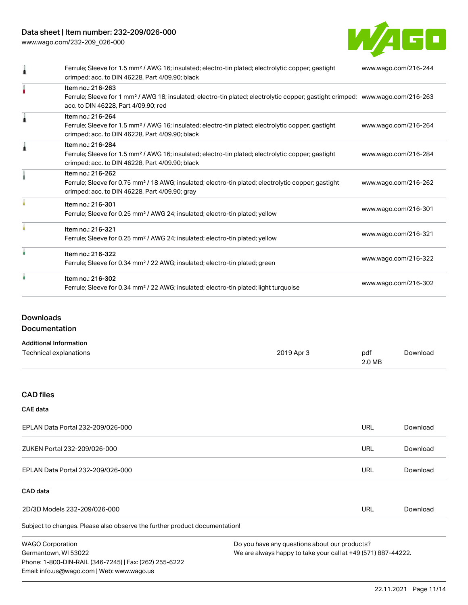[www.wago.com/232-209\\_026-000](http://www.wago.com/232-209_026-000)



| Ferrule; Sleeve for 1.5 mm <sup>2</sup> / AWG 16; insulated; electro-tin plated; electrolytic copper; gastight<br>crimped; acc. to DIN 46228, Part 4/09.90; black                                       | www.wago.com/216-244 |
|---------------------------------------------------------------------------------------------------------------------------------------------------------------------------------------------------------|----------------------|
| Item no.: 216-263<br>Ferrule; Sleeve for 1 mm <sup>2</sup> / AWG 18; insulated; electro-tin plated; electrolytic copper; gastight crimped; www.wago.com/216-263<br>acc. to DIN 46228, Part 4/09.90; red |                      |
| Item no.: 216-264<br>Ferrule; Sleeve for 1.5 mm <sup>2</sup> / AWG 16; insulated; electro-tin plated; electrolytic copper; gastight<br>crimped; acc. to DIN 46228, Part 4/09.90; black                  | www.wago.com/216-264 |
| Item no.: 216-284<br>Ferrule; Sleeve for 1.5 mm <sup>2</sup> / AWG 16; insulated; electro-tin plated; electrolytic copper; gastight<br>crimped; acc. to DIN 46228, Part 4/09.90; black                  | www.wago.com/216-284 |
| Item no.: 216-262<br>Ferrule; Sleeve for 0.75 mm <sup>2</sup> / 18 AWG; insulated; electro-tin plated; electrolytic copper; gastight<br>crimped; acc. to DIN 46228, Part 4/09.90; gray                  | www.wago.com/216-262 |
| Item no.: 216-301<br>Ferrule; Sleeve for 0.25 mm <sup>2</sup> / AWG 24; insulated; electro-tin plated; yellow                                                                                           | www.wago.com/216-301 |
| Item no.: 216-321<br>Ferrule; Sleeve for 0.25 mm <sup>2</sup> / AWG 24; insulated; electro-tin plated; yellow                                                                                           | www.wago.com/216-321 |
| Item no.: 216-322<br>Ferrule; Sleeve for 0.34 mm <sup>2</sup> / 22 AWG; insulated; electro-tin plated; green                                                                                            | www.wago.com/216-322 |
| Item no.: 216-302<br>Ferrule; Sleeve for 0.34 mm <sup>2</sup> / 22 AWG; insulated; electro-tin plated; light turquoise                                                                                  | www.wago.com/216-302 |

#### Downloads

Documentation

| <b>Additional Information</b> |            |        |          |
|-------------------------------|------------|--------|----------|
| Technical explanations        | 2019 Apr 3 | pdf    | Download |
|                               |            | 2.0 MB |          |

#### CAD files

#### CAE data

| EPLAN Data Portal 232-209/026-000 | URL | Download |
|-----------------------------------|-----|----------|
| ZUKEN Portal 232-209/026-000      | URL | Download |
| EPLAN Data Portal 232-209/026-000 | URL | Download |

#### CAD data

| 2D/3D Models 232-209/026-000 | URL | ∴'∩wnl∩a… |
|------------------------------|-----|-----------|
|                              |     |           |

Subject to changes. Please also observe the further product documentation!

WAGO Corporation Germantown, WI 53022 Phone: 1-800-DIN-RAIL (346-7245) | Fax: (262) 255-6222 Email: info.us@wago.com | Web: www.wago.us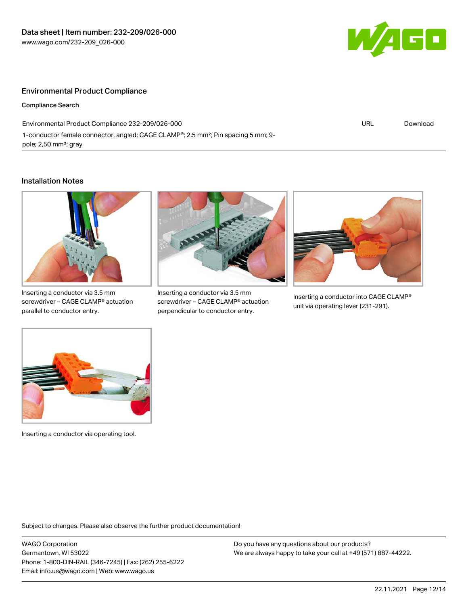

#### Environmental Product Compliance

Compliance Search

Environmental Product Compliance 232-209/026-000 1-conductor female connector, angled; CAGE CLAMP®; 2.5 mm²; Pin spacing 5 mm; 9 pole; 2,50 mm²; gray

URL [Download](https://www.wago.com/global/d/ComplianceLinkMediaContainer_232-209_026-000)

#### Installation Notes



Inserting a conductor via 3.5 mm screwdriver – CAGE CLAMP® actuation parallel to conductor entry.



Inserting a conductor via 3.5 mm screwdriver – CAGE CLAMP® actuation perpendicular to conductor entry.



Inserting a conductor into CAGE CLAMP® unit via operating lever (231-291).



Inserting a conductor via operating tool.

Subject to changes. Please also observe the further product documentation!

WAGO Corporation Germantown, WI 53022 Phone: 1-800-DIN-RAIL (346-7245) | Fax: (262) 255-6222 Email: info.us@wago.com | Web: www.wago.us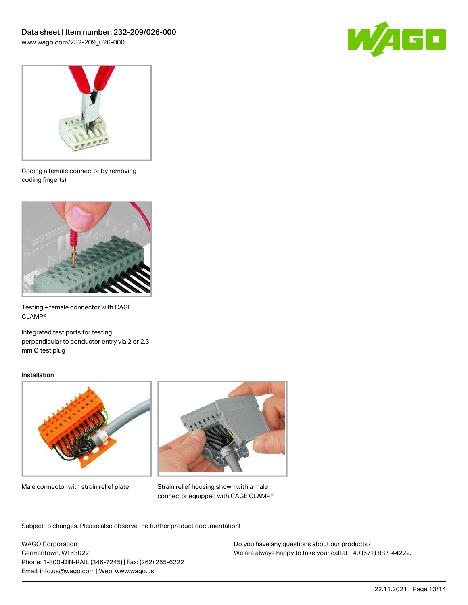



Coding a female connector by removing coding finger(s).



Testing – female connector with CAGE CLAMP®

Integrated test ports for testing perpendicular to conductor entry via 2 or 2.3 mm Ø test plug

#### Installation



Male connector with strain relief plate



Strain relief housing shown with a male connector equipped with CAGE CLAMP®

Subject to changes. Please also observe the further product documentation!

WAGO Corporation Germantown, WI 53022 Phone: 1-800-DIN-RAIL (346-7245) | Fax: (262) 255-6222 Email: info.us@wago.com | Web: www.wago.us